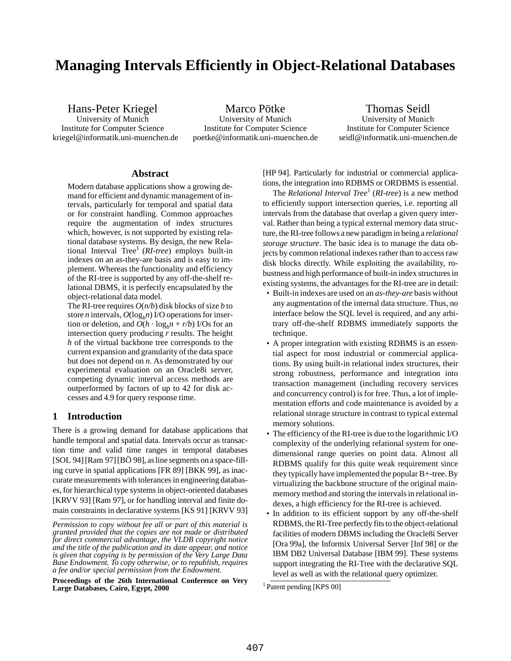# **Managing Intervals Efficiently in Object-Relational Databases**

kriegel@informatik.uni-muenchen.de poetke@informatik.uni-muenchen.de seidl@informatik.uni-muenchen.de

Hans-Peter Kriegel Marco Pötke Thomas Seidl University of Munich University of Munich University of Munich Institute for Computer Science Institute for Computer Science Institute for Computer Science

# **Abstract**

Modern database applications show a growing demand for efficient and dynamic management of intervals, particularly for temporal and spatial data or for constraint handling. Common approaches require the augmentation of index structures which, however, is not supported by existing relational database systems. By design, the new Relational Interval Tree<sup>1</sup> (*RI-tree*) employs built-in indexes on an as-they-are basis and is easy to implement. Whereas the functionality and efficiency of the RI-tree is supported by any off-the-shelf relational DBMS, it is perfectly encapsulated by the object-relational data model.

The RI-tree requires *O*(*n/b*) disk blocks of size *b* to store *n* intervals,  $O(log_b n)$  I/O operations for insertion or deletion, and  $O(h \cdot \log_b n + r/b)$  I/Os for an intersection query producing *r* results. The height *h* of the virtual backbone tree corresponds to the current expansion and granularity of the data space but does not depend on *n*. As demonstrated by our experimental evaluation on an Oracle8i server, competing dynamic interval access methods are outperformed by factors of up to 42 for disk accesses and 4.9 for query response time.

# **1 Introduction**

There is a growing demand for database applications that handle temporal and spatial data. Intervals occur as transaction time and valid time ranges in temporal databases [SOL 94] [Ram 97] [BO 98], as line segments on a space-filling curve in spatial applications [FR 89] [BKK 99], as inaccurate measurements with tolerances in engineering databases, for hierarchical type systems in object-oriented databases [KRVV 93] [Ram 97], or for handling interval and finite domain constraints in declarative systems [KS 91] [KRVV 93] [HP 94]. Particularly for industrial or commercial applications, the integration into RDBMS or ORDBMS is essential.

The *Relational Interval Tree*<sup>1</sup> (*RI-tree*) is a new method to efficiently support intersection queries, i.e. reporting all intervals from the database that overlap a given query interval. Rather than being a typical external memory data structure, the RI-tree follows a new paradigm in being a *relational storage structure*. The basic idea is to manage the data objects by common relational indexes rather than to access raw disk blocks directly. While exploiting the availability, robustness and high performance of built-in index structures in existing systems, the advantages for the RI-tree are in detail:

- Built-in indexes are used on an *as-they-are* basis without any augmentation of the internal data structure. Thus, no interface below the SQL level is required, and any arbitrary off-the-shelf RDBMS immediately supports the technique.
- A proper integration with existing RDBMS is an essential aspect for most industrial or commercial applications. By using built-in relational index structures, their strong robustness, performance and integration into transaction management (including recovery services and concurrency control) is for free. Thus, a lot of implementation efforts and code maintenance is avoided by a relational storage structure in contrast to typical external memory solutions.
- The efficiency of the RI-tree is due to the logarithmic I/O complexity of the underlying relational system for onedimensional range queries on point data. Almost all RDBMS qualify for this quite weak requirement since they typically have implemented the popular B+-tree. By virtualizing the backbone structure of the original mainmemory method and storing the intervals in relational indexes, a high efficiency for the RI-tree is achieved.
- In addition to its efficient support by any off-the-shelf RDBMS, the RI-Tree perfectly fits to the object-relational facilities of modern DBMS including the Oracle8i Server [Ora 99a], the Informix Universal Server [Inf 98] or the IBM DB2 Universal Database [IBM 99]. These systems support integrating the RI-Tree with the declarative SQL level as well as with the relational query optimizer.

*Permission to copy without fee all or part of this material is granted provided that the copies are not made or distributed for direct commercial advantage, the VLDB copyright notice and the title of the publication and its date appear, and notice is given that copying is by permission of the Very Large Data Base Endowment. To copy otherwise, or to republish, requires a fee and/or special permission from the Endowment.*

**Proceedings of the 26th International Conference on Very Large Databases, Cairo, Egypt, 2000**

<sup>&</sup>lt;sup>1</sup> Patent pending [KPS 00]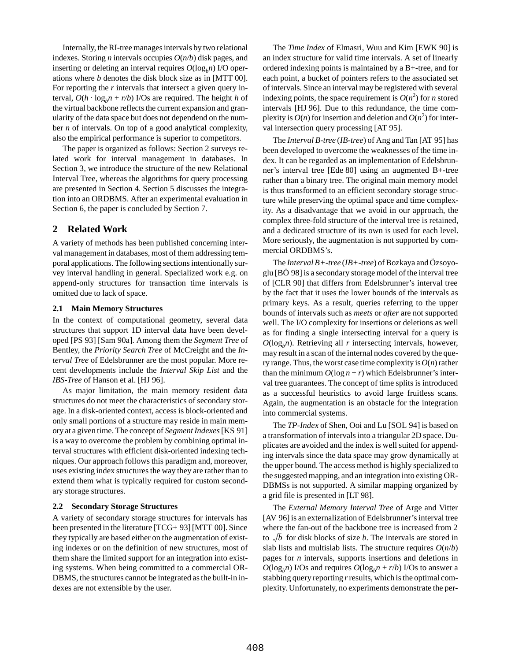Internally, the RI-tree manages intervals by two relational indexes. Storing *n* intervals occupies *O*(*n/b*) disk pages, and inserting or deleting an interval requires  $O(log_b n)$  I/O operations where *b* denotes the disk block size as in [MTT 00]. For reporting the *r* intervals that intersect a given query interval,  $O(h \cdot \log_b n + r/b)$  I/Os are required. The height *h* of the virtual backbone reflects the current expansion and granularity of the data space but does not dependend on the number *n* of intervals. On top of a good analytical complexity, also the empirical performance is superior to competitors.

The paper is organized as follows: Section 2 surveys related work for interval management in databases. In Section 3, we introduce the structure of the new Relational Interval Tree, whereas the algorithms for query processing are presented in Section 4. Section 5 discusses the integration into an ORDBMS. After an experimental evaluation in Section 6, the paper is concluded by Section 7.

# **2 Related Work**

A variety of methods has been published concerning interval management in databases, most of them addressing temporal applications. The following sections intentionally survey interval handling in general. Specialized work e.g. on append-only structures for transaction time intervals is omitted due to lack of space.

#### **2.1 Main Memory Structures**

In the context of computational geometry, several data structures that support 1D interval data have been developed [PS 93] [Sam 90a]. Among them the *Segment Tree* of Bentley, the *Priority Search Tree* of McCreight and the *Interval Tree* of Edelsbrunner are the most popular. More recent developments include the *Interval Skip List* and the *IBS-Tree* of Hanson et al. [HJ 96].

As major limitation, the main memory resident data structures do not meet the characteristics of secondary storage. In a disk-oriented context, access is block-oriented and only small portions of a structure may reside in main memory at a given time. The concept of *Segment Indexes* [KS 91] is a way to overcome the problem by combining optimal interval structures with efficient disk-oriented indexing techniques. Our approach follows this paradigm and, moreover, uses existing index structures the way they are rather than to extend them what is typically required for custom secondary storage structures.

#### **2.2 Secondary Storage Structures**

A variety of secondary storage structures for intervals has been presented in the literature [TCG+ 93] [MTT 00]. Since they typically are based either on the augmentation of existing indexes or on the definition of new structures, most of them share the limited support for an integration into existing systems. When being committed to a commercial OR-DBMS, the structures cannot be integrated as the built-in indexes are not extensible by the user.

The *Time Index* of Elmasri, Wuu and Kim [EWK 90] is an index structure for valid time intervals. A set of linearly ordered indexing points is maintained by a B+-tree, and for each point, a bucket of pointers refers to the associated set of intervals. Since an interval may be registered with several indexing points, the space requirement is  $O(n^2)$  for *n* stored intervals [HJ 96]. Due to this redundance, the time complexity is  $O(n)$  for insertion and deletion and  $O(n^2)$  for interval intersection query processing [AT 95].

The *Interval B-tree* (*IB-tree*) of Ang and Tan [AT 95] has been developed to overcome the weaknesses of the time index. It can be regarded as an implementation of Edelsbrunner's interval tree [Ede 80] using an augmented B+-tree rather than a binary tree. The original main memory model is thus transformed to an efficient secondary storage structure while preserving the optimal space and time complexity. As a disadvantage that we avoid in our approach, the complex three-fold structure of the interval tree is retained, and a dedicated structure of its own is used for each level. More seriously, the augmentation is not supported by commercial ORDBMS's.

The *Interval B+-tree* (*IB+-tree*) of Bozkaya and Özsoyoglu [BÖ 98] is a secondary storage model of the interval tree of [CLR 90] that differs from Edelsbrunner's interval tree by the fact that it uses the lower bounds of the intervals as primary keys. As a result, queries referring to the upper bounds of intervals such as *meets* or *after* are not supported well. The I/O complexity for insertions or deletions as well as for finding a single intersecting interval for a query is  $O(log_b n)$ . Retrieving all *r* intersecting intervals, however, may result in a scan of the internal nodes covered by the query range. Thus, the worst case time complexity is  $O(n)$  rather than the minimum  $O(\log n + r)$  which Edelsbrunner's interval tree guarantees. The concept of time splits is introduced as a successful heuristics to avoid large fruitless scans. Again, the augmentation is an obstacle for the integration into commercial systems.

The *TP-Index* of Shen, Ooi and Lu [SOL 94] is based on a transformation of intervals into a triangular 2D space. Duplicates are avoided and the index is well suited for appending intervals since the data space may grow dynamically at the upper bound. The access method is highly specialized to the suggested mapping, and an integration into existing OR-DBMSs is not supported. A similar mapping organized by a grid file is presented in [LT 98].

The *External Memory Interval Tree* of Arge and Vitter [AV 96] is an externalization of Edelsbrunner's interval tree where the fan-out of the backbone tree is increased from 2 to  $\sqrt{b}$  for disk blocks of size *b*. The intervals are stored in slab lists and multislab lists. The structure requires  $O(n/b)$ pages for *n* intervals, supports insertions and deletions in  $O(log_b n)$  I/Os and requires  $O(log_b n + r/b)$  I/Os to answer a stabbing query reporting *r* results, which is the optimal complexity. Unfortunately, no experiments demonstrate the per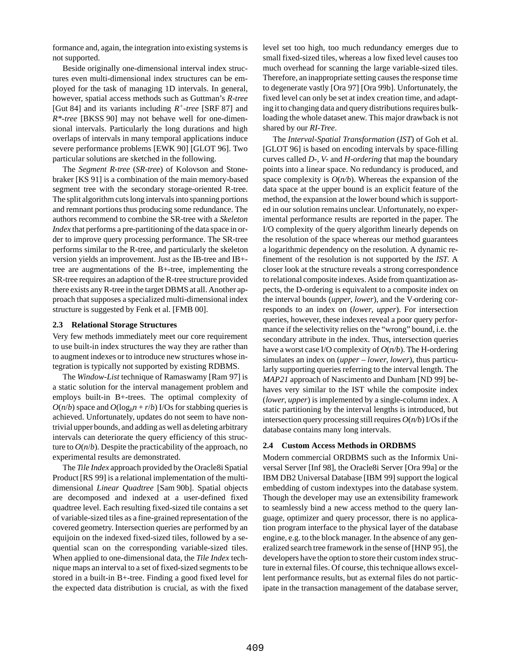formance and, again, the integration into existing systems is not supported.

Beside originally one-dimensional interval index structures even multi-dimensional index structures can be employed for the task of managing 1D intervals. In general, however, spatial access methods such as Guttman's *R-tree* [Gut 84] and its variants including *R+-tree* [SRF 87] and *R\*-tree* [BKSS 90] may not behave well for one-dimensional intervals. Particularly the long durations and high overlaps of intervals in many temporal applications induce severe performance problems [EWK 90] [GLOT 96]. Two particular solutions are sketched in the following.

The *Segment R-tree* (*SR-tree*) of Kolovson and Stonebraker [KS 91] is a combination of the main memory-based segment tree with the secondary storage-oriented R-tree. The split algorithm cuts long intervals into spanning portions and remnant portions thus producing some redundance. The authors recommend to combine the SR-tree with a *Skeleton Index* that performs a pre-partitioning of the data space in order to improve query processing performance. The SR-tree performs similar to the R-tree, and particularly the skeleton version yields an improvement. Just as the IB-tree and IB+ tree are augmentations of the B+-tree, implementing the SR-tree requires an adaption of the R-tree structure provided there exists any R-tree in the target DBMS at all. Another approach that supposes a specialized multi-dimensional index structure is suggested by Fenk et al. [FMB 00].

#### **2.3 Relational Storage Structures**

Very few methods immediately meet our core requirement to use built-in index structures the way they are rather than to augment indexes or to introduce new structures whose integration is typically not supported by existing RDBMS.

The *Window-List* technique of Ramaswamy [Ram 97] is a static solution for the interval management problem and employs built-in B+-trees. The optimal complexity of  $O(n/b)$  space and  $O(\log_b n + r/b)$  I/Os for stabbing queries is achieved. Unfortunately, updates do not seem to have nontrivial upper bounds, and adding as well as deleting arbitrary intervals can deteriorate the query efficiency of this structure to  $O(n/b)$ . Despite the practicability of the approach, no experimental results are demonstrated.

The *Tile Index* approach provided by the Oracle8i Spatial Product [RS 99] is a relational implementation of the multidimensional *Linear Quadtree* [Sam 90b]. Spatial objects are decomposed and indexed at a user-defined fixed quadtree level. Each resulting fixed-sized tile contains a set of variable-sized tiles as a fine-grained representation of the covered geometry. Intersection queries are performed by an equijoin on the indexed fixed-sized tiles, followed by a sequential scan on the corresponding variable-sized tiles. When applied to one-dimensional data, the *Tile Index* technique maps an interval to a set of fixed-sized segments to be stored in a built-in B+-tree. Finding a good fixed level for the expected data distribution is crucial, as with the fixed level set too high, too much redundancy emerges due to small fixed-sized tiles, whereas a low fixed level causes too much overhead for scanning the large variable-sized tiles. Therefore, an inappropriate setting causes the response time to degenerate vastly [Ora 97] [Ora 99b]. Unfortunately, the fixed level can only be set at index creation time, and adapting it to changing data and query distributions requires bulkloading the whole dataset anew. This major drawback is not shared by our *RI-Tree*.

The *Interval-Spatial Transformation* (*IST*) of Goh et al. [GLOT 96] is based on encoding intervals by space-filling curves called *D-, V-* and *H-ordering* that map the boundary points into a linear space. No redundancy is produced, and space complexity is  $O(n/b)$ . Whereas the expansion of the data space at the upper bound is an explicit feature of the method, the expansion at the lower bound which is supported in our solution remains unclear. Unfortunately, no experimental performance results are reported in the paper. The I/O complexity of the query algorithm linearly depends on the resolution of the space whereas our method guarantees a logarithmic dependency on the resolution. A dynamic refinement of the resolution is not supported by the *IST*. A closer look at the structure reveals a strong correspondence to relational composite indexes. Aside from quantization aspects, the D-ordering is equivalent to a composite index on the interval bounds (*upper*, *lower*), and the V-ordering corresponds to an index on (*lower*, *upper*). For intersection queries, however, these indexes reveal a poor query performance if the selectivity relies on the "wrong" bound, i.e. the secondary attribute in the index. Thus, intersection queries have a worst case I/O complexity of *O*(*n/b*). The H-ordering simulates an index on (*upper* – *lower*, *lower*), thus particularly supporting queries referring to the interval length. The *MAP21* approach of Nascimento and Dunham [ND 99] behaves very similar to the IST while the composite index (*lower*, *upper*) is implemented by a single-column index. A static partitioning by the interval lengths is introduced, but intersection query processing still requires *O*(*n/b*) I/Os if the database contains many long intervals.

#### **2.4 Custom Access Methods in ORDBMS**

Modern commercial ORDBMS such as the Informix Universal Server [Inf 98], the Oracle8i Server [Ora 99a] or the IBM DB2 Universal Database [IBM 99] support the logical embedding of custom indextypes into the database system. Though the developer may use an extensibility framework to seamlessly bind a new access method to the query language, optimizer and query processor, there is no application program interface to the physical layer of the database engine, e.g. to the block manager. In the absence of any generalized search tree framework in the sense of [HNP 95], the developers have the option to store their custom index structure in external files. Of course, this technique allows excellent performance results, but as external files do not participate in the transaction management of the database server,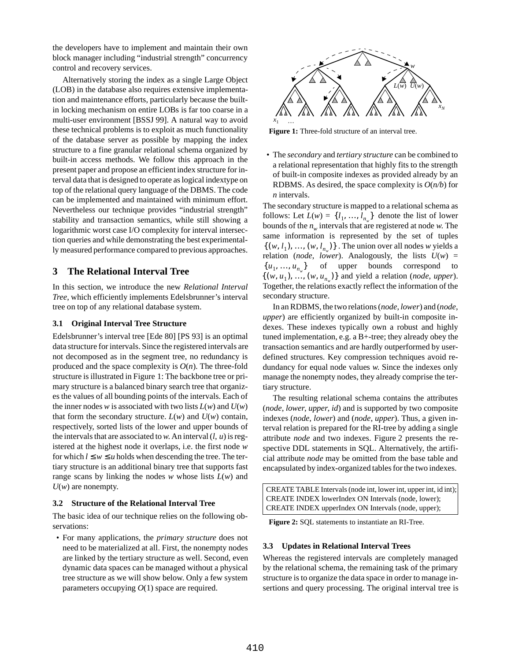the developers have to implement and maintain their own block manager including "industrial strength" concurrency control and recovery services.

Alternatively storing the index as a single Large Object (LOB) in the database also requires extensive implementation and maintenance efforts, particularly because the builtin locking mechanism on entire LOBs is far too coarse in a multi-user environment [BSSJ 99]. A natural way to avoid these technical problems is to exploit as much functionality of the database server as possible by mapping the index structure to a fine granular relational schema organized by built-in access methods. We follow this approach in the present paper and propose an efficient index structure for interval data that is designed to operate as logical indextype on top of the relational query language of the DBMS. The code can be implemented and maintained with minimum effort. Nevertheless our technique provides "industrial strength" stability and transaction semantics, while still showing a logarithmic worst case I/O complexity for interval intersection queries and while demonstrating the best experimentally measured performance compared to previous approaches.

# **3 The Relational Interval Tree**

In this section, we introduce the new *Relational Interval Tree*, which efficiently implements Edelsbrunner's interval tree on top of any relational database system.

#### **3.1 Original Interval Tree Structure**

Edelsbrunner's interval tree [Ede 80] [PS 93] is an optimal data structure for intervals. Since the registered intervals are not decomposed as in the segment tree, no redundancy is produced and the space complexity is  $O(n)$ . The three-fold structure is illustrated in Figure 1: The backbone tree or primary structure is a balanced binary search tree that organizes the values of all bounding points of the intervals. Each of the inner nodes *w* is associated with two lists  $L(w)$  and  $U(w)$ that form the secondary structure.  $L(w)$  and  $U(w)$  contain, respectively, sorted lists of the lower and upper bounds of the intervals that are associated to  $w$ . An interval  $(l, u)$  is registered at the highest node it overlaps, i.e. the first node *w* for which  $l \leq w \leq u$  holds when descending the tree. The tertiary structure is an additional binary tree that supports fast range scans by linking the nodes *w* whose lists *L*(*w*) and  $U(w)$  are nonempty.

#### **3.2 Structure of the Relational Interval Tree**

The basic idea of our technique relies on the following observations:

 • For many applications, the *primary structure* does not need to be materialized at all. First, the nonempty nodes are linked by the tertiary structure as well. Second, even dynamic data spaces can be managed without a physical tree structure as we will show below. Only a few system parameters occupying *O*(1) space are required.



**Figure 1:** Three-fold structure of an interval tree.

 • The *secondary* and *tertiary structure* can be combined to a relational representation that highly fits to the strength of built-in composite indexes as provided already by an RDBMS. As desired, the space complexity is  $O(n/b)$  for *n* intervals.

The secondary structure is mapped to a relational schema as follows: Let  $L(w) = \{l_1, ..., l_{n_w}\}\)$  denote the list of lower bounds of the  $n_w$  intervals that are registered at node *w*. The same information is represented by the set of tuples  $\{(w, l_1), ..., (w, l_{n_w})\}$ . The union over all nodes *w* yields a relation (*node*, *lower*). Analogously, the lists  $U(w)$  = of upper bounds correspond to  $\{(w, u_1), ..., (w, u_{n_w})\}$  and yield a relation (*node*, *upper*). Together, the relations exactly reflect the information of the secondary structure.  $\{u_1, ..., u_{n}\}\$ 

In an RDBMS, the two relations (*node*, *lower*) and (*node*, *upper*) are efficiently organized by built-in composite indexes. These indexes typically own a robust and highly tuned implementation, e.g. a B+-tree; they already obey the transaction semantics and are hardly outperformed by userdefined structures. Key compression techniques avoid redundancy for equal node values *w*. Since the indexes only manage the nonempty nodes, they already comprise the tertiary structure.

The resulting relational schema contains the attributes (*node*, *lower*, *upper*, *id*) and is supported by two composite indexes (*node*, *lower*) and (*node*, *upper*). Thus, a given interval relation is prepared for the RI-tree by adding a single attribute *node* and two indexes. Figure 2 presents the respective DDL statements in SQL. Alternatively, the artificial attribute *node* may be omitted from the base table and encapsulated by index-organized tables for the two indexes.

CREATE TABLE Intervals (node int, lower int, upper int, id int); CREATE INDEX lowerIndex ON Intervals (node, lower); CREATE INDEX upperIndex ON Intervals (node, upper);

**Figure 2:** SQL statements to instantiate an RI-Tree.

# **3.3 Updates in Relational Interval Trees**

Whereas the registered intervals are completely managed by the relational schema, the remaining task of the primary structure is to organize the data space in order to manage insertions and query processing. The original interval tree is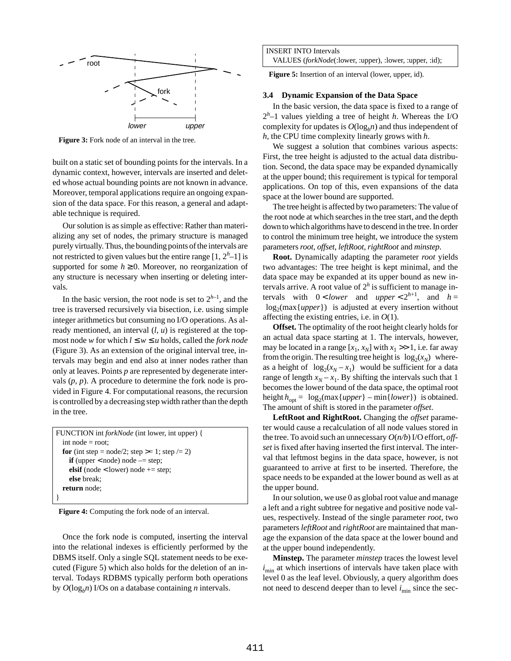

**Figure 3:** Fork node of an interval in the tree.

built on a static set of bounding points for the intervals. In a dynamic context, however, intervals are inserted and deleted whose actual bounding points are not known in advance. Moreover, temporal applications require an ongoing expansion of the data space. For this reason, a general and adaptable technique is required.

Our solution is as simple as effective: Rather than materializing any set of nodes, the primary structure is managed purely virtually. Thus, the bounding points of the intervals are not restricted to given values but the entire range  $[1, 2<sup>h</sup>-1]$  is supported for some  $h \geq 0$ . Moreover, no reorganization of any structure is necessary when inserting or deleting intervals.

In the basic version, the root node is set to  $2^{h-1}$ , and the tree is traversed recursively via bisection, i.e. using simple integer arithmetics but consuming no I/O operations. As already mentioned, an interval (*l*, *u*) is registered at the topmost node *w* for which  $l \leq w \leq u$  holds, called the *fork node* (Figure 3). As an extension of the original interval tree, intervals may begin and end also at inner nodes rather than only at leaves. Points *p* are represented by degenerate intervals  $(p, p)$ . A procedure to determine the fork node is provided in Figure 4. For computational reasons, the recursion is controlled by a decreasing step width rather than the depth in the tree.

```
FUNCTION int forkNode (int lower, int upper) {
  int node = root;
  for (int step = node/2; step >= 1; step /= 2)
    if (upper \leq node) node = step;
    elsif (node < lower) node += step;
    else break;
  return node;
}
```
**Figure 4:** Computing the fork node of an interval.

Once the fork node is computed, inserting the interval into the relational indexes is efficiently performed by the DBMS itself. Only a single SQL statement needs to be executed (Figure 5) which also holds for the deletion of an interval. Todays RDBMS typically perform both operations by *O*(log*bn*) I/Os on a database containing *n* intervals.

**Figure 5:** Insertion of an interval (lower, upper, id).

### **3.4 Dynamic Expansion of the Data Space**

In the basic version, the data space is fixed to a range of 2*h* –1 values yielding a tree of height *h*. Whereas the I/O complexity for updates is  $O(log_b n)$  and thus independent of *h*, the CPU time complexity linearly grows with *h*.

We suggest a solution that combines various aspects: First, the tree height is adjusted to the actual data distribution. Second, the data space may be expanded dynamically at the upper bound; this requirement is typical for temporal applications. On top of this, even expansions of the data space at the lower bound are supported.

The tree height is affected by two parameters: The value of the root node at which searches in the tree start, and the depth down to which algorithms have to descend in the tree. In order to control the minimum tree height, we introduce the system parameters *root*, *offset*, *leftRoot, rightRoot* and *minstep*.

**Root.** Dynamically adapting the parameter *root* yields two advantages: The tree height is kept minimal, and the data space may be expanded at its upper bound as new intervals arrive. A root value of  $2^h$  is sufficient to manage intervals with  $0 < lower$  and  $upper < 2^{h+1}$ , and  $h =$  $\lfloor log_2(max\{upper\}\rfloor$  is adjusted at every insertion without affecting the existing entries, i.e. in *O*(1).

**Offset.** The optimality of the root height clearly holds for an actual data space starting at 1. The intervals, however, may be located in a range  $[x_1, x_2]$  with  $x_1 \gg 1$ , i.e. far away from the origin. The resulting tree height is  $\lfloor log_2(x_N) \rfloor$  whereas a height of  $\lfloor \log_2(x_N - x_1) \rfloor$  would be sufficient for a data range of length  $x_N - x_1$ . By shifting the intervals such that 1 becomes the lower bound of the data space, the optimal root height  $h_{\text{opt}} = \lfloor \log_2(\max\{\text{upper}\} - \min\{\text{lower}\}) \rfloor$  is obtained. The amount of shift is stored in the parameter *offset*.

**LeftRoot and RightRoot.** Changing the *offset* parameter would cause a recalculation of all node values stored in the tree. To avoid such an unnecessary *O*(*n/b*) I/O effort, *offset* is fixed after having inserted the first interval. The interval that leftmost begins in the data space, however, is not guaranteed to arrive at first to be inserted. Therefore, the space needs to be expanded at the lower bound as well as at the upper bound.

In our solution, we use 0 as global root value and manage a left and a right subtree for negative and positive node values, respectively. Instead of the single parameter *root*, two parameters *leftRoot* and *rightRoot* are maintained that manage the expansion of the data space at the lower bound and at the upper bound independently.

**Minstep.** The parameter *minstep* traces the lowest level  $i_{\text{min}}$  at which insertions of intervals have taken place with level 0 as the leaf level. Obviously, a query algorithm does not need to descend deeper than to level  $i_{\text{min}}$  since the sec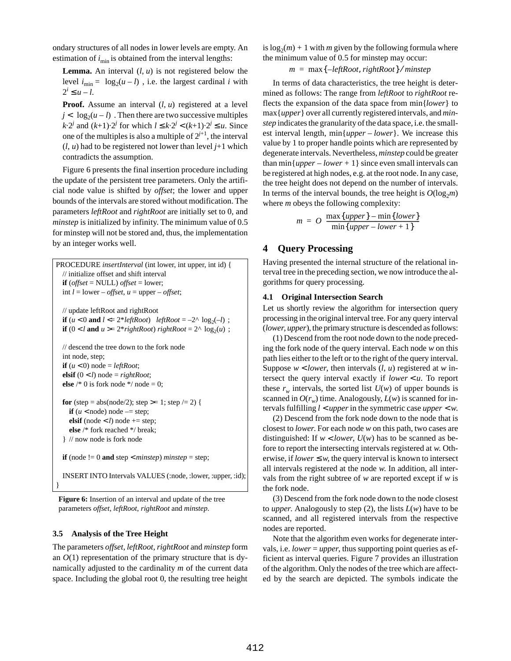ondary structures of all nodes in lower levels are empty. An estimation of  $i_{\text{min}}$  is obtained from the interval lengths:

**Lemma.** An interval  $(l, u)$  is not registered below the level  $i_{\text{min}} = \lfloor \log_2(u-l) \rfloor$ , i.e. the largest cardinal *i* with  $2^i \leq u - l$ .

**Proof.** Assume an interval (*l*, *u*) registered at a level  $j < \lfloor log_2(u - l) \rfloor$ . Then there are two successive multiples *k*⋅2<sup>*j*</sup> and  $(k+1)$ ⋅2<sup>*j*</sup> for which  $l \le k$ ⋅2<sup>*j*</sup> <  $(k+1)$ ⋅2<sup>*j*</sup> ≤ *u*. Since one of the multiples is also a multiple of  $2^{j+1}$ , the interval  $(l, u)$  had to be registered not lower than level  $j+1$  which contradicts the assumption.

Figure 6 presents the final insertion procedure including the update of the persistent tree parameters. Only the artificial node value is shifted by *offset*; the lower and upper bounds of the intervals are stored without modification. The parameters *leftRoot* and *rightRoot* are initially set to 0, and *minstep* is initialized by infinity. The minimum value of 0.5 for minstep will not be stored and, thus, the implementation by an integer works well.

```
PROCEDURE insertInterval (int lower, int upper, int id) {
  // initialize offset and shift interval
  if (offset = NULL) offset = lower;
  int l = lower - offset, u = upper - offset;// update leftRoot and rightRoot
  if (u < 0 and l \le 2^* \text{leftRoot} leftRoot = -2^{\text{A}} \text{log}_2(-l);
  if (0 < l \text{ and } u > = 2 * rightRoot) rightRoot = 2^{\Lambda} \log_2(u);
  // descend the tree down to the fork node
  int node, step;
  if (u < 0) node = leftRoot;
  elsif (0 < l) node = rightRoot;
  else /* 0 is fork node */ node = 0;
  for (step = abs(node/2); step >= 1; step /= 2) {
    if (u < \text{node}) node = step;
    elsif (node \lt l) node \gt = step;
    else /* fork reached */ break;
  } // now node is fork node
  if (node != 0 and step < minstep) minstep = step;
  INSERT INTO Intervals VALUES (:node, :lower, :upper, :id);
```
Figure 6: Insertion of an interval and update of the tree parameters *offset*, *leftRoot*, *rightRoot* and *minstep*.

#### **3.5 Analysis of the Tree Height**

}

The parameters *offset*, *leftRoot*, *rightRoot* and *minstep* form an  $O(1)$  representation of the primary structure that is dynamically adjusted to the cardinality *m* of the current data space. Including the global root 0, the resulting tree height is  $log_2(m) + 1$  with *m* given by the following formula where the minimum value of 0.5 for minstep may occur:

*m* = max{ } –*leftRoot*, *rightRoot* ⁄ *minstep*

In terms of data characteristics, the tree height is determined as follows: The range from *leftRoot* to *rightRoot* reflects the expansion of the data space from min{*lower*} to max{*upper*} over all currently registered intervals, and *minstep* indicates the granularity of the data space, i.e. the smallest interval length, min{*upper* – *lower*}. We increase this value by 1 to proper handle points which are represented by degenerate intervals. Nevertheless, *minstep* could be greater than min $\{upper-lower+1\}$  since even small intervals can be registered at high nodes, e.g. at the root node. In any case, the tree height does not depend on the number of intervals. In terms of the interval bounds, the tree height is  $O(log_2m)$ where *m* obeys the following complexity:

$$
m = O\left(\frac{\max\{upper\} - \min\{lower\}}{\min\{upper - lower + 1\}}\right)
$$

# **4 Query Processing**

Having presented the internal structure of the relational interval tree in the preceding section, we now introduce the algorithms for query processing.

#### **4.1 Original Intersection Search**

Let us shortly review the algorithm for intersection query processing in the original interval tree. For any query interval (*lower*, *upper*), the primary structure is descended as follows:

(1) Descend from the root node down to the node preceding the fork node of the query interval. Each node *w* on this path lies either to the left or to the right of the query interval. Suppose *w* < *lower*, then intervals (*l*, *u*) registered at *w* intersect the query interval exactly if *lower* < *u*. To report these  $r_w$  intervals, the sorted list  $U(w)$  of upper bounds is scanned in  $O(r_w)$  time. Analogously,  $L(w)$  is scanned for intervals fulfilling *l* < *upper* in the symmetric case *upper* < *w*.

(2) Descend from the fork node down to the node that is closest to *lower*. For each node *w* on this path, two cases are distinguished: If  $w$  < *lower*,  $U(w)$  has to be scanned as before to report the intersecting intervals registered at *w*. Otherwise, if  $lower \leq w$ , the query interval is known to intersect all intervals registered at the node *w*. In addition, all intervals from the right subtree of *w* are reported except if *w* is the fork node.

(3) Descend from the fork node down to the node closest to *upper*. Analogously to step  $(2)$ , the lists  $L(w)$  have to be scanned, and all registered intervals from the respective nodes are reported.

Note that the algorithm even works for degenerate intervals, i.e. *lower* = *upper*, thus supporting point queries as efficient as interval queries. Figure 7 provides an illustration of the algorithm. Only the nodes of the tree which are affected by the search are depicted. The symbols indicate the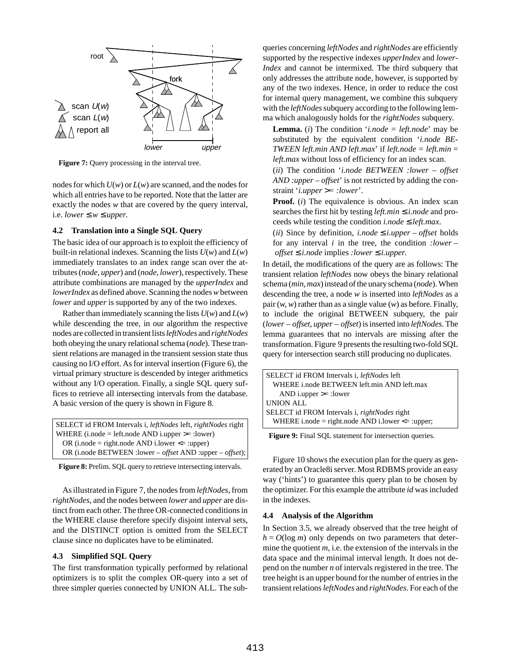

**Figure 7:** Query processing in the interval tree.

nodes for which *U*(*w*) or *L*(*w*) are scanned, and the nodes for which all entries have to be reported. Note that the latter are exactly the nodes *w* that are covered by the query interval, i.e. *lower* ≤  $w$  ≤ *upper*.

## **4.2 Translation into a Single SQL Query**

The basic idea of our approach is to exploit the efficiency of built-in relational indexes. Scanning the lists *U*(*w*) and *L*(*w*) immediately translates to an index range scan over the attributes (*node*, *upper*) and (*node*, *lower*), respectively. These attribute combinations are managed by the *upperIndex* and *lowerIndex* as defined above. Scanning the nodes *w* between *lower* and *upper* is supported by any of the two indexes.

Rather than immediately scanning the lists  $U(w)$  and  $L(w)$ while descending the tree, in our algorithm the respective nodes are collected in transient lists *leftNodes* and *rightNodes* both obeying the unary relational schema (*node*). These transient relations are managed in the transient session state thus causing no I/O effort. As for interval insertion (Figure 6), the virtual primary structure is descended by integer arithmetics without any I/O operation. Finally, a single SQL query suffices to retrieve all intersecting intervals from the database. A basic version of the query is shown in Figure 8.

| SELECT id FROM Intervals i, leftNodes left, rightNodes right                     |
|----------------------------------------------------------------------------------|
| WHERE $(i;\text{node} = left;\text{node} \text{ AND } i;\text{upper} >= :lower)$ |
| OR (i.node = right.node AND i.lower $\leq$ :upper)                               |
| OR (i.node BETWEEN : lower – <i>offset</i> AND :upper – <i>offset</i> );         |

Figure 8: Prelim. SQL query to retrieve intersecting intervals.

As illustrated in Figure 7, the nodes from *leftNodes*, from *rightNodes*, and the nodes between *lower* and *upper* are distinct from each other. The three OR-connected conditions in the WHERE clause therefore specify disjoint interval sets, and the DISTINCT option is omitted from the SELECT clause since no duplicates have to be eliminated.

#### **4.3 Simplified SQL Query**

The first transformation typically performed by relational optimizers is to split the complex OR-query into a set of three simpler queries connected by UNION ALL. The subqueries concerning *leftNodes* and *rightNodes* are efficiently supported by the respective indexes *upperIndex* and *lower-Index* and cannot be intermixed. The third subquery that only addresses the attribute node, however, is supported by any of the two indexes. Hence, in order to reduce the cost for internal query management, we combine this subquery with the *leftNodes* subquery according to the following lemma which analogously holds for the *rightNodes* subquery.

**Lemma.** (*i*) The condition '*i.node = left.node*' may be substituted by the equivalent condition '*i.node BE-TWEEN left.min AND left.max*' if *left.node = left.min* = *left.max* without loss of efficiency for an index scan.

(*ii*) The condition '*i.node BETWEEN :lower – offset AND :upper – offset*' is not restricted by adding the constraint '*i.upper* >*= :lower*'.

**Proof.** (*i*) The equivalence is obvious. An index scan searches the first hit by testing *left.min* ≤ *i.node* and proceeds while testing the condition *i.node* ≤ *left.max*.

(*ii*) Since by definition, *i.node*  $\leq$  *i.upper* – *offset* holds for any interval *i* in the tree, the condition *:lower – offset* ≤ *i.node* implies *:lower* ≤ *i.upper*.

In detail, the modifications of the query are as follows: The transient relation *leftNodes* now obeys the binary relational schema (*min*, *max*) instead of the unary schema (*node*). When descending the tree, a node *w* is inserted into *leftNodes* as a pair (*w*, *w*) rather than as a single value (*w*) as before. Finally, to include the original BETWEEN subquery, the pair (*lower* – *offset*, *upper* – *offset*) is inserted into *leftNodes*. The lemma guarantees that no intervals are missing after the transformation. Figure 9 presents the resulting two-fold SQL query for intersection search still producing no duplicates.

| SELECT id FROM Intervals <i>i, leftNodes</i> left    |
|------------------------------------------------------|
| WHERE <i>i.node BETWEEN</i> left.min AND left.max    |
| AND i.upper $\ge$ : lower                            |
| UNION ALL                                            |
| SELECT id FROM Intervals <i>i, rightNodes</i> right  |
| WHERE i.node = right.node AND i.lower $\leq$ :upper; |

Figure 9: Final SQL statement for intersection queries.

Figure 10 shows the execution plan for the query as generated by an Oracle8i server. Most RDBMS provide an easy way ('hints') to guarantee this query plan to be chosen by the optimizer. For this example the attribute *id* was included in the indexes.

## **4.4 Analysis of the Algorithm**

In Section 3.5, we already observed that the tree height of  $h = O(\log m)$  only depends on two parameters that determine the quotient *m*, i.e. the extension of the intervals in the data space and the minimal interval length. It does not depend on the number *n* of intervals registered in the tree. The tree height is an upper bound for the number of entries in the transient relations *leftNodes* and *rightNodes*. For each of the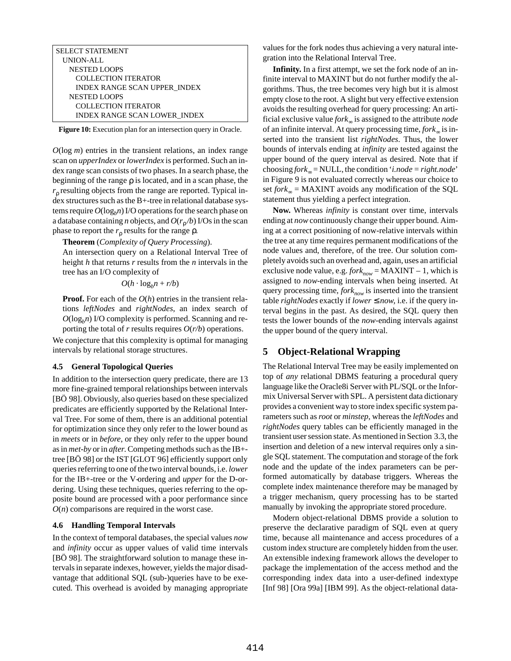SELECT STATEMENT UNION-ALL NESTED LOOPS COLLECTION ITERATOR INDEX RANGE SCAN UPPER\_INDEX NESTED LOOPS COLLECTION ITERATOR INDEX RANGE SCAN LOWER\_INDEX

**Figure 10:** Execution plan for an intersection query in Oracle.

*O*(log *m*) entries in the transient relations, an index range scan on *upperIndex* or *lowerIndex* is performed. Such an index range scan consists of two phases. In a search phase, the beginning of the range  $\rho$  is located, and in a scan phase, the *r*<sup>ρ</sup> resulting objects from the range are reported. Typical index structures such as the B+-tree in relational database systems require  $O(log_b n)$  I/O operations for the search phase on a database containing *n* objects, and  $O(r_0/b)$  I/Os in the scan phase to report the  $r_\text{ρ}$  results for the range  $ρ$ .

**Theorem** (*Complexity of Query Processing*).

An intersection query on a Relational Interval Tree of height *h* that returns *r* results from the *n* intervals in the tree has an I/O complexity of

 $O(h \cdot log_b n + r/b)$ 

**Proof.** For each of the *O*(*h*) entries in the transient relations *leftNodes* and *rightNodes*, an index search of  $O(log_b n)$  I/O complexity is performed. Scanning and reporting the total of *r* results requires *O*(*r/b*) operations.

We conjecture that this complexity is optimal for managing intervals by relational storage structures.

#### **4.5 General Topological Queries**

In addition to the intersection query predicate, there are 13 more fine-grained temporal relationships between intervals [BÖ 98]. Obviously, also queries based on these specialized predicates are efficiently supported by the Relational Interval Tree. For some of them, there is an additional potential for optimization since they only refer to the lower bound as in *meets* or in *before*, or they only refer to the upper bound as in *met-by* or in *after*. Competing methods such as the IB+ tree [BÖ 98] or the IST [GLOT 96] efficiently support only queries referring to one of the two interval bounds, i.e. *lower* for the IB+-tree or the V-ordering and *upper* for the D-ordering. Using these techniques, queries referring to the opposite bound are processed with a poor performance since  $O(n)$  comparisons are required in the worst case.

#### **4.6 Handling Temporal Intervals**

In the context of temporal databases, the special values *now* and *infinity* occur as upper values of valid time intervals [BÖ 98]. The straightforward solution to manage these intervals in separate indexes, however, yields the major disadvantage that additional SQL (sub-)queries have to be executed. This overhead is avoided by managing appropriate values for the fork nodes thus achieving a very natural integration into the Relational Interval Tree.

**Infinity.** In a first attempt, we set the fork node of an infinite interval to MAXINT but do not further modify the algorithms. Thus, the tree becomes very high but it is almost empty close to the root. A slight but very effective extension avoids the resulting overhead for query processing: An artificial exclusive value *fork*<sup>∞</sup> is assigned to the attribute *node* of an infinite interval. At query processing time, *fork*<sup>∞</sup> is inserted into the transient list *rightNodes*. Thus, the lower bounds of intervals ending at *infinity* are tested against the upper bound of the query interval as desired. Note that if choosing *fork*∞ = NULL, the condition '*i.node = right.node*' in Figure 9 is not evaluated correctly whereas our choice to set *fork*∞ = MAXINT avoids any modification of the SQL statement thus yielding a perfect integration.

**Now.** Whereas *infinity* is constant over time, intervals ending at *now* continuously change their upper bound. Aiming at a correct positioning of now-relative intervals within the tree at any time requires permanent modifications of the node values and, therefore, of the tree. Our solution completely avoids such an overhead and, again, uses an artificial exclusive node value, e.g.  $fork_{now} = MAXINT - 1$ , which is assigned to *now*-ending intervals when being inserted. At query processing time, *fork<sub>now</sub>* is inserted into the transient table *rightNodes* exactly if *lower* ≤ *now*, i.e. if the query interval begins in the past. As desired, the SQL query then tests the lower bounds of the *now*-ending intervals against the upper bound of the query interval.

# **5 Object-Relational Wrapping**

The Relational Interval Tree may be easily implemented on top of *any* relational DBMS featuring a procedural query language like the Oracle8i Server with PL/SQL or the Informix Universal Server with SPL. A persistent data dictionary provides a convenient way to store index specific system parameters such as *root* or *minstep*, whereas the *leftNodes* and *rightNodes* query tables can be efficiently managed in the transient user session state. As mentioned in Section 3.3, the insertion and deletion of a new interval requires only a single SQL statement. The computation and storage of the fork node and the update of the index parameters can be performed automatically by database triggers. Whereas the complete index maintenance therefore may be managed by a trigger mechanism, query processing has to be started manually by invoking the appropriate stored procedure.

Modern object-relational DBMS provide a solution to preserve the declarative paradigm of SQL even at query time, because all maintenance and access procedures of a custom index structure are completely hidden from the user. An extensible indexing framework allows the developer to package the implementation of the access method and the corresponding index data into a user-defined indextype [Inf 98] [Ora 99a] [IBM 99]. As the object-relational data-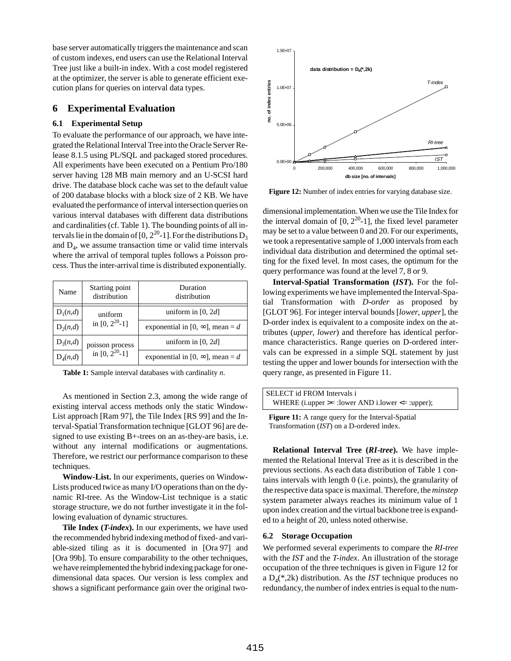base server automatically triggers the maintenance and scan of custom indexes, end users can use the Relational Interval Tree just like a built-in index. With a cost model registered at the optimizer, the server is able to generate efficient execution plans for queries on interval data types.

# **6 Experimental Evaluation**

# **6.1 Experimental Setup**

To evaluate the performance of our approach, we have integrated the Relational Interval Tree into the Oracle Server Release 8.1.5 using PL/SQL and packaged stored procedures. All experiments have been executed on a Pentium Pro/180 server having 128 MB main memory and an U-SCSI hard drive. The database block cache was set to the default value of 200 database blocks with a block size of 2 KB. We have evaluated the performance of interval intersection queries on various interval databases with different data distributions and cardinalities (cf. Table 1). The bounding points of all intervals lie in the domain of [0,  $2^{20}$ -1]. For the distributions  $D_3$ and  $D_4$ , we assume transaction time or valid time intervals where the arrival of temporal tuples follows a Poisson process. Thus the inter-arrival time is distributed exponentially.

| Name       | Starting point<br>distribution          | Duration<br>distribution                |
|------------|-----------------------------------------|-----------------------------------------|
| $D_1(n,d)$ | uniform<br>in [0, $2^{20}$ -1]          | uniform in [0, $2d$ ]                   |
| $D_2(n,d)$ |                                         | exponential in [0, $\infty$ ], mean = d |
| $D_3(n,d)$ | poisson process<br>in $[0, 2^{20} - 1]$ | uniform in [0, $2d$ ]                   |
| $D_4(n,d)$ |                                         | exponential in [0, $\infty$ ], mean = d |

**Table 1:** Sample interval databases with cardinality *n*.

As mentioned in Section 2.3, among the wide range of existing interval access methods only the static Window-List approach [Ram 97], the Tile Index [RS 99] and the Interval-Spatial Transformation technique [GLOT 96] are designed to use existing B+-trees on an as-they-are basis, i.e. without any internal modifications or augmentations. Therefore, we restrict our performance comparison to these techniques.

**Window-List.** In our experiments, queries on Window-Lists produced twice as many I/O operations than on the dynamic RI-tree. As the Window-List technique is a static storage structure, we do not further investigate it in the following evaluation of dynamic structures.

**Tile Index (***T-index***).** In our experiments, we have used the recommended hybrid indexing method of fixed- and variable-sized tiling as it is documented in [Ora 97] and [Ora 99b]. To ensure comparability to the other techniques, we have reimplemented the hybrid indexing package for onedimensional data spaces. Our version is less complex and shows a significant performance gain over the original two-



**Figure 12:** Number of index entries for varying database size.

dimensional implementation. When we use the Tile Index for the interval domain of  $[0, 2^{20}$ -1], the fixed level parameter may be set to a value between 0 and 20. For our experiments, we took a representative sample of 1,000 intervals from each individual data distribution and determined the optimal setting for the fixed level. In most cases, the optimum for the query performance was found at the level 7, 8 or 9.

**Interval-Spatial Transformation (***IST***).** For the following experiments we have implemented the Interval-Spatial Transformation with *D-order* as proposed by [GLOT 96]. For integer interval bounds [*lower*, *upper*], the D-order index is equivalent to a composite index on the attributes (*upper*, *lower*) and therefore has identical performance characteristics. Range queries on D-ordered intervals can be expressed in a simple SQL statement by just testing the upper and lower bounds for intersection with the query range, as presented in Figure 11.

| SELECT id FROM Intervals i                           |  |
|------------------------------------------------------|--|
| WHERE (i.upper $>=$ :lower AND i.lower $<=$ :upper); |  |
|                                                      |  |

**Figure 11:** A range query for the Interval-Spatial Transformation (*IST*) on a D-ordered index.

**Relational Interval Tree (***RI-tree***).** We have implemented the Relational Interval Tree as it is described in the previous sections. As each data distribution of Table 1 contains intervals with length 0 (i.e. points), the granularity of the respective data space is maximal. Therefore, the *minstep* system parameter always reaches its minimum value of 1 upon index creation and the virtual backbone tree is expanded to a height of 20, unless noted otherwise.

## **6.2 Storage Occupation**

We performed several experiments to compare the *RI-tree* with the *IST* and the *T-index*. An illustration of the storage occupation of the three techniques is given in Figure 12 for a  $D_4(*,2k)$  distribution. As the *IST* technique produces no redundancy, the number of index entries is equal to the num-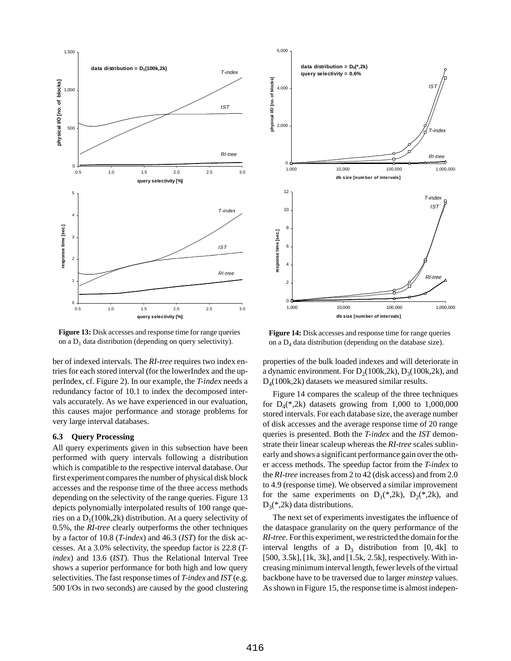

**Figure 13:** Disk accesses and response time for range queries on a  $D_1$  data distribution (depending on query selectivity).

ber of indexed intervals. The *RI-tree* requires two index entries for each stored interval (for the lowerIndex and the upperIndex, cf. Figure 2). In our example, the *T-index* needs a redundancy factor of 10.1 to index the decomposed intervals accurately. As we have experienced in our evaluation, this causes major performance and storage problems for very large interval databases.

## **6.3 Query Processing**

All query experiments given in this subsection have been performed with query intervals following a distribution which is compatible to the respective interval database. Our first experiment compares the number of physical disk block accesses and the response time of the three access methods depending on the selectivity of the range queries. Figure 13 depicts polynomially interpolated results of 100 range queries on a  $D_1(100k,2k)$  distribution. At a query selectivity of 0.5%, the *RI-tree* clearly outperforms the other techniques by a factor of 10.8 (*T-index*) and 46.3 (*IST*) for the disk accesses. At a 3.0% selectivity, the speedup factor is 22.8 (*Tindex*) and 13.6 (*IST*). Thus the Relational Interval Tree shows a superior performance for both high and low query selectivities. The fast response times of *T-index* and *IST* (e.g. 500 I/Os in two seconds) are caused by the good clustering



**Figure 14:** Disk accesses and response time for range queries on a  $D_4$  data distribution (depending on the database size).

properties of the bulk loaded indexes and will deteriorate in a dynamic environment. For  $D_2(100k,2k)$ ,  $D_3(100k,2k)$ , and  $D_4(100k,2k)$  datasets we measured similar results.

Figure 14 compares the scaleup of the three techniques for  $D_4(*,2k)$  datasets growing from 1,000 to 1,000,000 stored intervals. For each database size, the average number of disk accesses and the average response time of 20 range queries is presented. Both the *T-index* and the *IST* demonstrate their linear scaleup whereas the *RI-tree* scales sublinearly and shows a significant performance gain over the other access methods. The speedup factor from the *T-index* to the *RI-tree* increases from 2 to 42 (disk access) and from 2.0 to 4.9 (response time). We observed a similar improvement for the same experiments on  $D_1(*,2k)$ ,  $D_2(*,2k)$ , and  $D_3$ <sup>\*</sup>,2k) data distributions.

The next set of experiments investigates the influence of the dataspace granularity on the query performance of the *RI-tree*. For this experiment, we restricted the domain for the interval lengths of a  $D_3$  distribution from [0, 4k] to [500, 3.5k], [1k, 3k], and [1.5k, 2.5k], respectively. With increasing minimum interval length, fewer levels of the virtual backbone have to be traversed due to larger *minstep* values. As shown in Figure 15, the response time is almost indepen-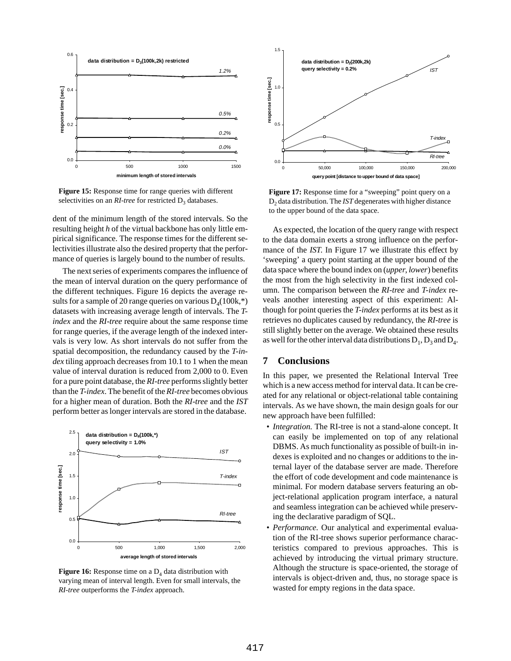

**Figure 15:** Response time for range queries with different selectivities on an *RI-tree* for restricted D<sub>2</sub> databases.

dent of the minimum length of the stored intervals. So the resulting height *h* of the virtual backbone has only little empirical significance. The response times for the different selectivities illustrate also the desired property that the performance of queries is largely bound to the number of results.

The next series of experiments compares the influence of the mean of interval duration on the query performance of the different techniques. Figure 16 depicts the average results for a sample of 20 range queries on various  $D_4(100k,^*)$ datasets with increasing average length of intervals. The *Tindex* and the *RI-tree* require about the same response time for range queries, if the average length of the indexed intervals is very low. As short intervals do not suffer from the spatial decomposition, the redundancy caused by the *T-index* tiling approach decreases from 10.1 to 1 when the mean value of interval duration is reduced from 2,000 to 0. Even for a pure point database, the *RI-tree* performs slightly better than the *T-index*. The benefit of the *RI-tree* becomes obvious for a higher mean of duration. Both the *RI-tree* and the *IST* perform better as longer intervals are stored in the database.



**Figure 16:** Response time on a  $D_4$  data distribution with varying mean of interval length. Even for small intervals, the *RI-tree* outperforms the *T-index* approach.



Figure 17: Response time for a "sweeping" point query on a D2 data distribution. The *IST* degenerates with higher distance to the upper bound of the data space.

As expected, the location of the query range with respect to the data domain exerts a strong influence on the performance of the *IST*. In Figure 17 we illustrate this effect by 'sweeping' a query point starting at the upper bound of the data space where the bound index on (*upper*, *lower*) benefits the most from the high selectivity in the first indexed column. The comparison between the *RI-tree* and *T-index* reveals another interesting aspect of this experiment: Although for point queries the *T-index* performs at its best as it retrieves no duplicates caused by redundancy, the *RI-tree* is still slightly better on the average. We obtained these results as well for the other interval data distributions  $D_1$ ,  $D_3$  and  $D_4$ .

# **7 Conclusions**

In this paper, we presented the Relational Interval Tree which is a new access method for interval data. It can be created for any relational or object-relational table containing intervals. As we have shown, the main design goals for our new approach have been fulfilled:

- *Integration.* The RI-tree is not a stand-alone concept. It can easily be implemented on top of any relational DBMS. As much functionality as possible of built-in indexes is exploited and no changes or additions to the internal layer of the database server are made. Therefore the effort of code development and code maintenance is minimal. For modern database servers featuring an object-relational application program interface, a natural and seamless integration can be achieved while preserving the declarative paradigm of SQL.
- *Performance.* Our analytical and experimental evaluation of the RI-tree shows superior performance characteristics compared to previous approaches. This is achieved by introducing the virtual primary structure. Although the structure is space-oriented, the storage of intervals is object-driven and, thus, no storage space is wasted for empty regions in the data space.